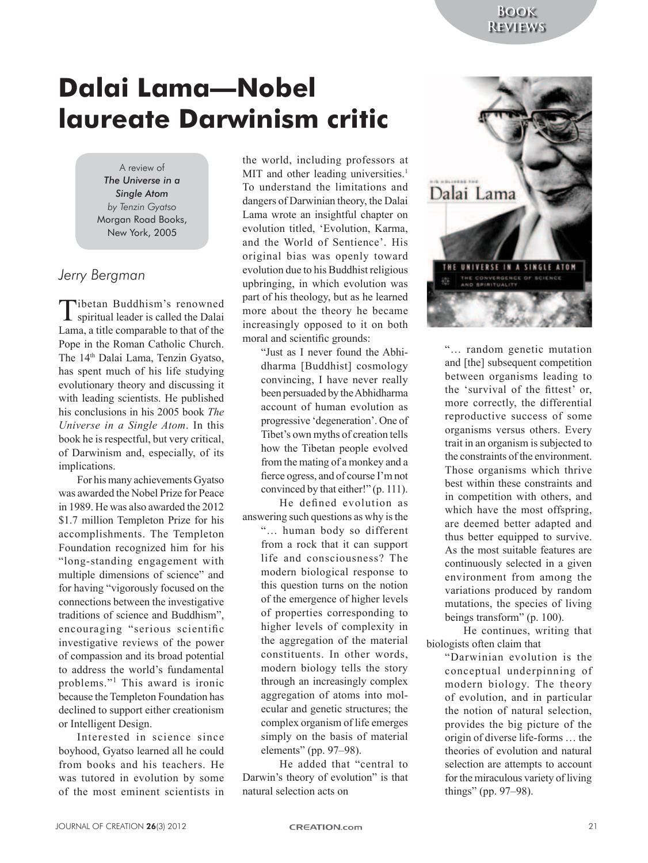# **Dalai Lama—Nobel laureate Darwinism critic**

A review of *The Universe in a Single Atom by Tenzin Gyatso* Morgan Road Books, New York, 2005

## *Jerry Bergman*

Tibetan Buddhism's renowned spiritual leader is called the Dalai Lama, a title comparable to that of the Pope in the Roman Catholic Church. The 14<sup>th</sup> Dalai Lama, Tenzin Gyatso, has spent much of his life studying evolutionary theory and discussing it with leading scientists. He published his conclusions in his 2005 book *The Universe in a Single Atom*. In this book he is respectful, but very critical, of Darwinism and, especially, of its implications.

For his many achievements Gyatso was awarded the Nobel Prize for Peace in 1989. He was also awarded the 2012 \$1.7 million Templeton Prize for his accomplishments. The Templeton Foundation recognized him for his "long-standing engagement with multiple dimensions of science" and for having "vigorously focused on the connections between the investigative traditions of science and Buddhism", encouraging "serious scientific investigative reviews of the power of compassion and its broad potential to address the world's fundamental problems."<sup>1</sup> This award is ironic because the Templeton Foundation has declined to support either creationism or Intelligent Design.

Interested in science since boyhood, Gyatso learned all he could from books and his teachers. He was tutored in evolution by some of the most eminent scientists in

the world, including professors at MIT and other leading universities.<sup>1</sup> To understand the limitations and dangers of Darwinian theory, the Dalai Lama wrote an insightful chapter on evolution titled, 'Evolution, Karma, and the World of Sentience'. His original bias was openly toward evolution due to his Buddhist religious upbringing, in which evolution was part of his theology, but as he learned more about the theory he became increasingly opposed to it on both moral and scientific grounds:

> "Just as I never found the Abhidharma [Buddhist] cosmology convincing, I have never really been persuaded by the Abhidharma account of human evolution as progressive 'degeneration'. One of Tibet's own myths of creation tells how the Tibetan people evolved from the mating of a monkey and a fierce ogress, and of course I'm not convinced by that either!" (p. 111).

He defined evolution as answering such questions as why is the "… human body so different from a rock that it can support life and consciousness? The modern biological response to this question turns on the notion of the emergence of higher levels of properties corresponding to higher levels of complexity in the aggregation of the material constituents. In other words, modern biology tells the story through an increasingly complex aggregation of atoms into molecular and genetic structures; the complex organism of life emerges simply on the basis of material elements" (pp. 97–98).

He added that "central to Darwin's theory of evolution" is that natural selection acts on



"… random genetic mutation and [the] subsequent competition between organisms leading to the 'survival of the fittest' or, more correctly, the differential reproductive success of some organisms versus others. Every trait in an organism is subjected to the constraints of the environment. Those organisms which thrive best within these constraints and in competition with others, and which have the most offspring, are deemed better adapted and thus better equipped to survive. As the most suitable features are continuously selected in a given environment from among the variations produced by random mutations, the species of living beings transform" (p. 100).

He continues, writing that biologists often claim that

> "Darwinian evolution is the conceptual underpinning of modern biology. The theory of evolution, and in particular the notion of natural selection, provides the big picture of the origin of diverse life-forms … the theories of evolution and natural selection are attempts to account for the miraculous variety of living things" (pp. 97–98).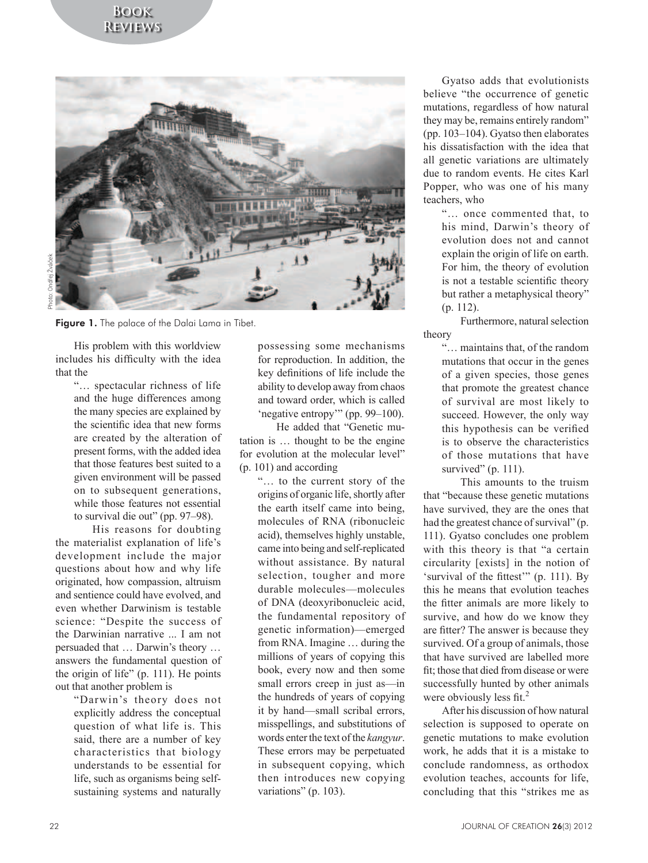

Figure 1. The palace of the Dalai Lama in Tibet.

His problem with this worldview includes his difficulty with the idea that the

"… spectacular richness of life and the huge differences among the many species are explained by the scientific idea that new forms are created by the alteration of present forms, with the added idea that those features best suited to a given environment will be passed on to subsequent generations, while those features not essential to survival die out" (pp. 97–98).

His reasons for doubting the materialist explanation of life's development include the major questions about how and why life originated, how compassion, altruism and sentience could have evolved, and even whether Darwinism is testable science: "Despite the success of the Darwinian narrative ... I am not persuaded that … Darwin's theory … answers the fundamental question of the origin of life" (p. 111). He points out that another problem is

"Darwin's theory does not explicitly address the conceptual question of what life is. This said, there are a number of key characteristics that biology understands to be essential for life, such as organisms being selfsustaining systems and naturally possessing some mechanisms for reproduction. In addition, the key definitions of life include the ability to develop away from chaos and toward order, which is called 'negative entropy'" (pp. 99–100).

He added that "Genetic mutation is … thought to be the engine for evolution at the molecular level" (p. 101) and according

"… to the current story of the origins of organic life, shortly after the earth itself came into being, molecules of RNA (ribonucleic acid), themselves highly unstable, came into being and self-replicated without assistance. By natural selection, tougher and more durable molecules—molecules of DNA (deoxyribonucleic acid, the fundamental repository of genetic information)—emerged from RNA. Imagine … during the millions of years of copying this book, every now and then some small errors creep in just as—in the hundreds of years of copying it by hand—small scribal errors, misspellings, and substitutions of words enter the text of the *kangyur*. These errors may be perpetuated in subsequent copying, which then introduces new copying variations" (p. 103).

Gyatso adds that evolutionists believe "the occurrence of genetic mutations, regardless of how natural they may be, remains entirely random" (pp. 103–104). Gyatso then elaborates his dissatisfaction with the idea that all genetic variations are ultimately due to random events. He cites Karl Popper, who was one of his many teachers, who

"… once commented that, to his mind, Darwin's theory of evolution does not and cannot explain the origin of life on earth. For him, the theory of evolution is not a testable scientific theory but rather a metaphysical theory" (p. 112).

Furthermore, natural selection theory

"… maintains that, of the random mutations that occur in the genes of a given species, those genes that promote the greatest chance of survival are most likely to succeed. However, the only way this hypothesis can be verified is to observe the characteristics of those mutations that have survived"  $(p. 111)$ .

This amounts to the truism that "because these genetic mutations have survived, they are the ones that had the greatest chance of survival" (p. 111). Gyatso concludes one problem with this theory is that "a certain circularity [exists] in the notion of 'survival of the fittest'" (p. 111). By this he means that evolution teaches the fitter animals are more likely to survive, and how do we know they are fitter? The answer is because they survived. Of a group of animals, those that have survived are labelled more fit; those that died from disease or were successfully hunted by other animals were obviously less fit.<sup>2</sup>

After his discussion of how natural selection is supposed to operate on genetic mutations to make evolution work, he adds that it is a mistake to conclude randomness, as orthodox evolution teaches, accounts for life, concluding that this "strikes me as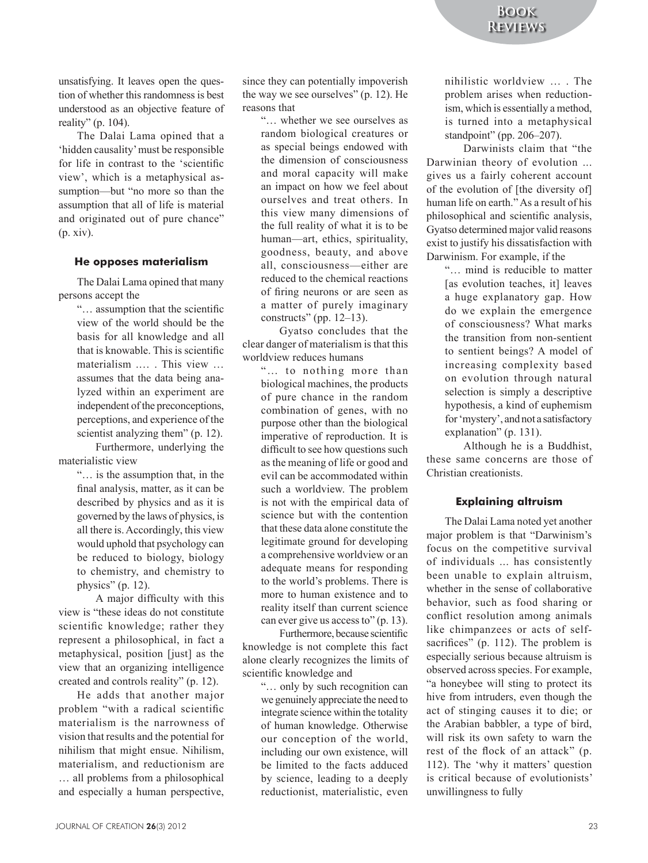unsatisfying. It leaves open the question of whether this randomness is best understood as an objective feature of reality" (p. 104).

The Dalai Lama opined that a 'hidden causality' must be responsible for life in contrast to the 'scientific view', which is a metaphysical assumption—but "no more so than the assumption that all of life is material and originated out of pure chance" (p. xiv).

#### **He opposes materialism**

The Dalai Lama opined that many persons accept the

> "… assumption that the scientific view of the world should be the basis for all knowledge and all that is knowable. This is scientific materialism .… . This view … assumes that the data being analyzed within an experiment are independent of the preconceptions, perceptions, and experience of the scientist analyzing them" (p. 12).

Furthermore, underlying the materialistic view

> "… is the assumption that, in the final analysis, matter, as it can be described by physics and as it is governed by the laws of physics, is all there is. Accordingly, this view would uphold that psychology can be reduced to biology, biology to chemistry, and chemistry to physics" (p. 12).

A major difficulty with this view is "these ideas do not constitute scientific knowledge; rather they represent a philosophical, in fact a metaphysical, position [just] as the view that an organizing intelligence created and controls reality" (p. 12).

He adds that another major problem "with a radical scientific materialism is the narrowness of vision that results and the potential for nihilism that might ensue. Nihilism, materialism, and reductionism are … all problems from a philosophical and especially a human perspective, since they can potentially impoverish the way we see ourselves" (p. 12). He reasons that

> "… whether we see ourselves as random biological creatures or as special beings endowed with the dimension of consciousness and moral capacity will make an impact on how we feel about ourselves and treat others. In this view many dimensions of the full reality of what it is to be human—art, ethics, spirituality, goodness, beauty, and above all, consciousness—either are reduced to the chemical reactions of firing neurons or are seen as a matter of purely imaginary constructs" (pp. 12–13).

Gyatso concludes that the clear danger of materialism is that this worldview reduces humans

> "… to nothing more than biological machines, the products of pure chance in the random combination of genes, with no purpose other than the biological imperative of reproduction. It is difficult to see how questions such as the meaning of life or good and evil can be accommodated within such a worldview. The problem is not with the empirical data of science but with the contention that these data alone constitute the legitimate ground for developing a comprehensive worldview or an adequate means for responding to the world's problems. There is more to human existence and to reality itself than current science can ever give us access to" (p. 13).

Furthermore, because scientific knowledge is not complete this fact alone clearly recognizes the limits of scientific knowledge and

> "… only by such recognition can we genuinely appreciate the need to integrate science within the totality of human knowledge. Otherwise our conception of the world, including our own existence, will be limited to the facts adduced by science, leading to a deeply reductionist, materialistic, even

nihilistic worldview … . The problem arises when reductionism, which is essentially a method, is turned into a metaphysical standpoint" (pp. 206–207).

Darwinists claim that "the Darwinian theory of evolution ... gives us a fairly coherent account of the evolution of [the diversity of] human life on earth." As a result of his philosophical and scientific analysis, Gyatso determined major valid reasons exist to justify his dissatisfaction with Darwinism. For example, if the

> "… mind is reducible to matter [as evolution teaches, it] leaves a huge explanatory gap. How do we explain the emergence of consciousness? What marks the transition from non-sentient to sentient beings? A model of increasing complexity based on evolution through natural selection is simply a descriptive hypothesis, a kind of euphemism for 'mystery', and not a satisfactory explanation" (p. 131).

Although he is a Buddhist, these same concerns are those of Christian creationists.

#### **Explaining altruism**

The Dalai Lama noted yet another major problem is that "Darwinism's focus on the competitive survival of individuals ... has consistently been unable to explain altruism, whether in the sense of collaborative behavior, such as food sharing or conflict resolution among animals like chimpanzees or acts of selfsacrifices" (p. 112). The problem is especially serious because altruism is observed across species. For example, "a honeybee will sting to protect its hive from intruders, even though the act of stinging causes it to die; or the Arabian babbler, a type of bird, will risk its own safety to warn the rest of the flock of an attack" (p. 112). The 'why it matters' question is critical because of evolutionists' unwillingness to fully